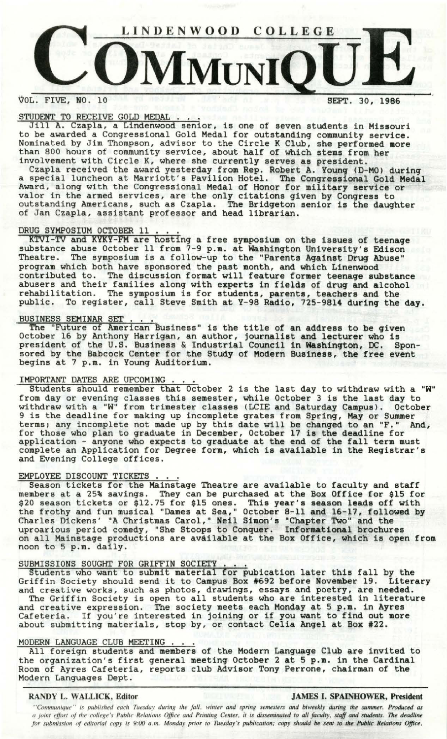

# VOL. FIVE, NO. 10 SEPT. 30, 1986

## STUDENT TO RECEIVE GOLD MEDAL

Jill A. Czapla, a Lindenwood senior, is one of seven students in Missouri to be awarded a Congressional Gold Medal for outstanding community service. Nominated by Jim Thompson, advisor to the Circle K Club, she performed **more**  than 800 hours of community service, about half of which stems from her involvement with Circle K, where she currently serves as president.

Czapla received the award yesterday from Rep. Robert A. Young (D-MO) during a special luncheon at Marriott's Pavilion Hotel. The Congressional Gold **Medal**  Award, along with the Congressional Medal of Honor for military **service** or valor in the armed services, are the only citations given by Congress to outstanding Americans, such as Czapla. The Bridgeton senior is the daughter of Jan Czapla, assistant professor and head librarian.

DRUG SYMPOSIUM OCTOBER 11 ... K'l'VI-TV and KYKY-FM are hosting a free symposium on the issues of teenage substance abuse October 11 from 7-9 p.m. at Washington University's Edison<br>Theatre. The symposium is a follow-up to the "Parents Against Drug Abuse" The symposium is a follow-up to the "Parents Against Drug Abuse" program which both have sponsored the past month, and which Linenwood contributed to. The discussion format will feature former teenage substance abusers and their families along with experts in fields of drug and alcohol rehabilitation. The symposium is for students, parents, teachers and the public. To register, call Steve Smith at Y-98 Radio, 725-9814 during the **day.** 

BUSINESS SEMINAR SET . . . .<br>The "Future of American Business" is the title of an address to be given October 16 by Anthony Harrigan, an author, journalist and lecturer who is president of the U.S. Business & Industrial Council in **Washington,** DC. Sponsored by the Babcock Center for the Study of Modern **Business,** the free event begins at 7 p.m. in Young Auditorium.

Degins at / p.m. in Young Auditorium.<br><u>IMPORTANT DATES ARE UPCOMING . . .</u><br>Students should remember that October 2 is the last day to withdraw with a "W" from day or evening classes this semester, while October 3 is the last day to withdraw with a "W" from trimester classes (LCIE and Saturday Campus). October 9 is the deadline for making up incomplete grates from Spring, May or Summer terms; any incomplete not made up by this date will be changed to an "F." And, for those who plan to graduate in December, October 17 is the deadline for application - anyone who expects to graduate at the end of the fall term must complete an Application for Degree form, which is available in the Registrar's and Evening College offices.

EMPLOYEE DISCOUNT TICKETS . . .<br>Season tickets for the Mainstage Theatre are available to faculty and staff members at a 25% savings. They can be purchased at the Box Office for \$15 for \$20 season tickets or \$12.75 for \$15 ones. This **year's season leads** off with the frothy and fun musical "Dames at Sea," October 8-11 and 16-17, followed by Charles Dickens' "A Christmas Carol," Neil Simon's "Chapter Two" and the uproarious period comedy, "She Stoops to Conquer. Informational brochures on all Mainstage productions are available at the Box Office, which is open from noon to 5 p.m. daily.

## SUBMISSIONS SOUGHT FOR GRIFFIN SOCIETY

Students who want to submit material for pubication later this fall by the Griffin Society should send it to Campus Box #692 before November 19. Literary and creative works, such as photos, drawings, essays and poetry, are needed. The Griffin Society is open to all students who are interested in literature and creative expression. The society meets each Monday at 5 p.m. in Ayres and creative expression. The society meets each honday at 5 p.m. in Ayres<br>Cafeteria. If you're interested in joining or if you want to find out more about submitting materials, stop by, or contact Celia Angel at Box #22.

about submitting materials, stop by, or contact Cella Angel at Box #22.<br>MODERN LANGUAGE CLUB MEETING ....<br>All foreign students and members of the Modern Language Club are invited to the organization's first general meeting October 2 at 5 p.m. in the Cardinal Room of Ayres Cafeteria, reports club Advisor Tony Perrone, chairman of the Modern Languages Dept.

## RANDY L. WALLICK, Editor. JAMES I. **SPAINHOWER,** President

*''Communique'' is published each Tuesday during the fall, winter and spring semesters and biweekly during the summer. Produced as a joint effort of the college's Public Relations Office and Printing Center, it is disseminated to all faculty, staff and students.* The *deadline for submission of editorial copy is 9:00 a.m. Monday prior to Tuesday's publication; copy should be sent to the Public Relations Office,*